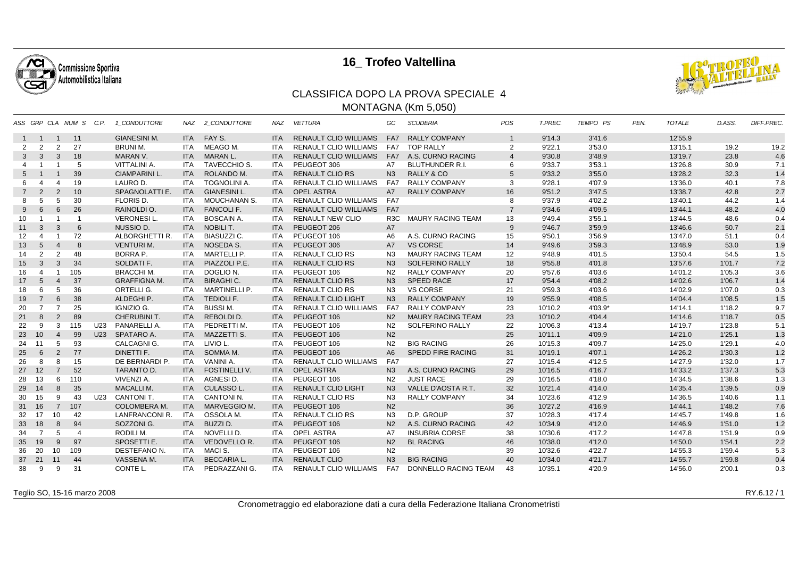

## **16\_ Trofeo Valtellina**



## CLASSIFICA DOPO LA PROVA SPECIALE 4MONTAGNA (Km 5,050)

|                |                |                | ASS GRP CLA NUM S C.P. |     | 1 CONDUTTORE          | NAZ        | 2 CONDUTTORE         | NAZ        | <b>VETTURA</b>               | GC               | <b>SCUDERIA</b>          | POS               | T.PREC. | TEMPO PS  | PEN. | <b>TOTALE</b> | D.ASS. | <b>DIFF.PREC.</b> |
|----------------|----------------|----------------|------------------------|-----|-----------------------|------------|----------------------|------------|------------------------------|------------------|--------------------------|-------------------|---------|-----------|------|---------------|--------|-------------------|
|                | $1 \quad 1$    | $\overline{1}$ | 11                     |     | <b>GIANESINI M.</b>   | ITA 1      | FAY S.               | <b>ITA</b> | <b>RENAULT CLIO WILLIAMS</b> | FA7              | <b>RALLY COMPANY</b>     | $\mathbf{1}$      | 9'14.3  | 3'41.6    |      | 12'55.9       |        |                   |
| 2              | $\overline{2}$ | 2              | 27                     |     | <b>BRUNI M.</b>       | ITA        | MEAGO M.             | <b>ITA</b> | <b>RENAULT CLIO WILLIAMS</b> | FA7              | <b>TOP RALLY</b>         | $\overline{2}$    | 9'22.1  | 3'53.0    |      | 13'15.1       | 19.2   | 19.2              |
| 3              | 3              | 3              | 18                     |     | MARAN V.              | <b>ITA</b> | MARAN L.             | <b>ITA</b> | <b>RENAULT CLIO WILLIAMS</b> |                  | FA7 A.S. CURNO RACING    | $\overline{4}$    | 9'30.8  | 3'48.9    |      | 13'19.7       | 23.8   | 4.6               |
| 4              |                |                | 5                      |     | <b>VITTALINI A.</b>   | ITA        | <b>TAVECCHIO S.</b>  | <b>ITA</b> | PEUGEOT 306                  | <b>A7</b>        | <b>BLUTHUNDER R.I.</b>   | 6                 | 9'33.7  | 3'53.1    |      | 13'26.8       | 30.9   | 7.1               |
| 5              |                |                | 39                     |     | <b>CIAMPARINI L.</b>  | <b>ITA</b> | ROLANDO M.           | <b>ITA</b> | <b>RENAULT CLIO RS</b>       | N <sub>3</sub>   | <b>RALLY &amp; CO</b>    | 5                 | 9'33.2  | 3'55.0    |      | 13'28.2       | 32.3   | 1.4               |
| 6              |                | $\overline{4}$ | 19                     |     | LAURO D.              | ITA        | <b>TOGNOLINI A.</b>  | <b>ITA</b> | RENAULT CLIO WILLIAMS        | FA7              | <b>RALLY COMPANY</b>     | 3                 | 9'28.1  | 4'07.9    |      | 13'36.0       | 40.1   | 7.8               |
| $\overline{7}$ | 2              | 2              | 10                     |     | <b>SPAGNOLATTI E.</b> | <b>ITA</b> | <b>GIANESINI L.</b>  | <b>ITA</b> | <b>OPEL ASTRA</b>            | A7               | <b>RALLY COMPANY</b>     | 16                | 9'51.2  | 3'47.5    |      | 13'38.7       | 42.8   | 2.7               |
| 8              | 5              | 5              | 30                     |     | FLORIS D.             | ITA        | MOUCHANAN S.         | <b>ITA</b> | <b>RENAULT CLIO WILLIAMS</b> | FA7              |                          | 8                 | 9'37.9  | 4'02.2    |      | 13'40.1       | 44.2   | 1.4               |
| 9              | 6              | 6              | 26                     |     | RAINOLDI O.           | <b>ITA</b> | <b>FANCOLIF.</b>     | <b>ITA</b> | RENAULT CLIO WILLIAMS FA7    |                  |                          | $\overline{7}$    | 9'34.6  | 4'09.5    |      | 13'44.1       | 48.2   | 4.0               |
| 10             |                | $\overline{1}$ | -1                     |     | <b>VERONESIL.</b>     | ITA        | <b>BOSCAIN A.</b>    | <b>ITA</b> | <b>RENAULT NEW CLIO</b>      | R <sub>3</sub> C | <b>MAURY RACING TEAM</b> | 13                | 9'49.4  | 3'55.1    |      | 13'44.5       | 48.6   | 0.4               |
| 11             | 3              | 3              | 6                      |     | NUSSIO D.             | <b>ITA</b> | <b>NOBILIT.</b>      | <b>ITA</b> | PEUGEOT 206                  | <b>A7</b>        |                          | 9                 | 9'46.7  | 3'59.9    |      | 13'46.6       | 50.7   | 2.1               |
| 12             | 4              | -1             | 72                     |     | ALBORGHETTI R.        | <b>ITA</b> | <b>BIASUZZI C.</b>   | <b>ITA</b> | PEUGEOT 106                  | A6               | A.S. CURNO RACING        | 15                | 9'50.1  | 3'56.9    |      | 13'47.0       | 51.1   | 0.4               |
| 13             | 5              | $\overline{4}$ | 8                      |     | <b>VENTURI M.</b>     | ITA I      | NOSEDA S.            | <b>ITA</b> | PEUGEOT 306                  | A7               | <b>VS CORSE</b>          | 14                | 9'49.6  | 3'59.3    |      | 13'48.9       | 53.0   | 1.9               |
| 14             | 2              | 2              | 48                     |     | <b>BORRA P.</b>       | ITA        | MARTELLI P.          | <b>ITA</b> | <b>RENAULT CLIO RS</b>       | N <sub>3</sub>   | <b>MAURY RACING TEAM</b> | $12 \overline{ }$ | 9'48.9  | 4'01.5    |      | 13'50.4       | 54.5   | 1.5               |
| 15             | 3              | 3              | 34                     |     | SOLDATI F.            | <b>ITA</b> | PIAZZOLI P.E.        | <b>ITA</b> | <b>RENAULT CLIO RS</b>       | N <sub>3</sub>   | <b>SOLFERINO RALLY</b>   | 18                | 9'55.8  | 4'01.8    |      | 13'57.6       | 1'01.7 | 7.2               |
| 16             | 4              |                | 105                    |     | <b>BRACCHI M.</b>     | ITA        | DOGLIO N.            | ITA.       | PEUGEOT 106                  | N <sub>2</sub>   | <b>RALLY COMPANY</b>     | 20                | 9'57.6  | 4'03.6    |      | 14'01.2       | 1'05.3 | 3.6               |
| 17             | 5              | $\overline{4}$ | 37                     |     | <b>GRAFFIGNA M.</b>   | <b>ITA</b> | <b>BIRAGHI C.</b>    | <b>ITA</b> | <b>RENAULT CLIO RS</b>       | N3               | <b>SPEED RACE</b>        | 17                | 9'54.4  | 4'08.2    |      | 14'02.6       | 1'06.7 | 1.4               |
| 18             | 6              | 5              | 36                     |     | ORTELLI G.            | ITA        | <b>MARTINELLI P.</b> | <b>ITA</b> | <b>RENAULT CLIO RS</b>       | N3               | <b>VS CORSE</b>          | 21                | 9'59.3  | 4'03.6    |      | 14'02.9       | 1'07.0 | 0.3               |
| 19             | $\overline{7}$ | 6              | 38                     |     | ALDEGHI P.            | <b>ITA</b> | <b>TEDIOLI F.</b>    | <b>ITA</b> | <b>RENAULT CLIO LIGHT</b>    | N <sub>3</sub>   | <b>RALLY COMPANY</b>     | 19                | 9'55.9  | 4'08.5    |      | 14'04.4       | 1'08.5 | 1.5               |
| 20             | 7              | $\overline{7}$ | 25                     |     | IGNIZIO G.            | ITA.       | <b>BUSSIM.</b>       | <b>ITA</b> | <b>RENAULT CLIO WILLIAMS</b> | FA7              | <b>RALLY COMPANY</b>     | 23                | 10'10.2 | $4'03.9*$ |      | 14'14.1       | 1'18.2 | 9.7               |
| 21             | 8              | 2              | 89                     |     | CHERUBINI T.          | <b>ITA</b> | REBOLDI D.           | <b>ITA</b> | PEUGEOT 106                  | N <sub>2</sub>   | <b>MAURY RACING TEAM</b> | 23                | 10'10.2 | 4'04.4    |      | 14'14.6       | 1'18.7 | 0.5               |
| 22             | 9              | 3              | 115                    | U23 | PANARELLI A.          | ITA        | PEDRETTI M.          | <b>ITA</b> | PEUGEOT 106                  | N <sub>2</sub>   | SOLFERINO RALLY          | 22                | 10'06.3 | 4'13.4    |      | 14'19.7       | 1'23.8 | 5.1               |
| 23             | 10             | $\overline{4}$ | 99                     | U23 | SPATARO A.            | ITA I      | <b>MAZZETTI S.</b>   | <b>ITA</b> | PEUGEOT 106                  | N <sub>2</sub>   |                          | 25                | 10'11.1 | 4'09.9    |      | 14'21.0       | 1'25.1 | 1.3               |
| 24             | 11             | 5              | 93                     |     | CALCAGNI G.           | <b>ITA</b> | LIVIO L.             | <b>ITA</b> | PEUGEOT 106                  | N <sub>2</sub>   | <b>BIG RACING</b>        | 26                | 10'15.3 | 4'09.7    |      | 14'25.0       | 1'29.1 | 4.0               |
| 25             | 6              | $\overline{2}$ | 77                     |     | DINETTI F.            | <b>ITA</b> | SOMMA M.             | <b>ITA</b> | PEUGEOT 106                  | A <sub>6</sub>   | <b>SPEDD FIRE RACING</b> | 31                | 10'19.1 | 4'07.1    |      | 14'26.2       | 1'30.3 | 1.2               |
| 26             | 8              | 8              | 15                     |     | DE BERNARDI P.        | ITA        | VANINI A.            | <b>ITA</b> | <b>RENAULT CLIO WILLIAMS</b> | FA7              |                          | 27                | 10'15.4 | 4'12.5    |      | 14'27.9       | 1'32.0 | 1.7               |
| 27             | 12             | $\overline{7}$ | 52                     |     | TARANTO D.            | <b>ITA</b> | <b>FOSTINELLI V.</b> | <b>ITA</b> | <b>OPEL ASTRA</b>            | N3               | A.S. CURNO RACING        | 29                | 10'16.5 | 4'16.7    |      | 14'33.2       | 1'37.3 | 5.3               |
| 28             | 13             | 6              | 110                    |     | VIVENZI A.            | ITA        | AGNESI D.            | <b>ITA</b> | PEUGEOT 106                  | N <sub>2</sub>   | <b>JUST RACE</b>         | 29                | 10'16.5 | 4'18.0    |      | 14'34.5       | 1'38.6 | 1.3               |
| 29             | 14             | 8              | 35                     |     | <b>MACALLIM.</b>      | <b>ITA</b> | CULASSO L.           | <b>ITA</b> | <b>RENAULT CLIO LIGHT</b>    | N <sub>3</sub>   | VALLE D'AOSTA R.T.       | 32                | 10'21.4 | 4'14.0    |      | 14'35.4       | 1'39.5 | 0.9               |
| 30             | 15             | 9              | 43                     | U23 | CANTONI T.            | ITA.       | <b>CANTONI N.</b>    | <b>ITA</b> | <b>RENAULT CLIO RS</b>       | N3               | <b>RALLY COMPANY</b>     | 34                | 10'23.6 | 4'12.9    |      | 14'36.5       | 1'40.6 | 1.1               |
| 31             | 16             | $\overline{7}$ | 107                    |     | <b>COLOMBERA M.</b>   | <b>ITA</b> | MARVEGGIO M.         | <b>ITA</b> | PEUGEOT 106                  | N <sub>2</sub>   |                          | 36                | 10'27.2 | 4'16.9    |      | 14'44.1       | 1'48.2 | 7.6               |
| 32             | -17            | 10             | 42                     |     | LANFRANCONI R.        | ITA        | OSSOLA M.            | <b>ITA</b> | <b>RENAULT CLIO RS</b>       | N <sub>3</sub>   | D.P. GROUP               | 37                | 10'28.3 | 4'17.4    |      | 14'45.7       | 1'49.8 | 1.6               |
| 33             | 18             | 8              | 94                     |     | SOZZONI G.            | <b>ITA</b> | BUZZI D.             | <b>ITA</b> | PEUGEOT 106                  | N <sub>2</sub>   | A.S. CURNO RACING        | 42                | 10'34.9 | 4'12.0    |      | 14'46.9       | 1'51.0 | 1.2               |
| 34             | $\overline{7}$ | 5              | $\overline{4}$         |     | RODILI M.             | ITA.       | NOVELLI D.           | ITA.       | <b>OPEL ASTRA</b>            | A7               | <b>INSUBRIA CORSE</b>    | 38                | 10'30.6 | 4'17.2    |      | 14'47.8       | 1'51.9 | 0.9               |
| 35             | 19             | 9              | 97                     |     | SPOSETTI E.           | <b>ITA</b> | <b>VEDOVELLO R.</b>  | <b>ITA</b> | PEUGEOT 106                  | N <sub>2</sub>   | <b>BL RACING</b>         | 46                | 10'38.0 | 4'12.0    |      | 14'50.0       | 1'54.1 | 2.2               |
| 36             | 20             | 10             | 109                    |     | DESTEFANO N.          | ITA        | MACI S.              | <b>ITA</b> | PEUGEOT 106                  | N <sub>2</sub>   |                          | 39                | 10'32.6 | 4'22.7    |      | 14'55.3       | 1'59.4 | 5.3               |
| 37             | 21             | 11             | 44                     |     | VASSENA M.            | <b>ITA</b> | <b>BECCARIA L.</b>   | <b>ITA</b> | <b>RENAULT CLIO</b>          | N <sub>3</sub>   | <b>BIG RACING</b>        | 40                | 10'34.0 | 4'21.7    |      | 14'55.7       | 1'59.8 | 0.4               |
| 38             | 9              | 9              | 31                     |     | CONTE L.              | ITA        | PEDRAZZANI G.        | ITA.       | RENAULT CLIO WILLIAMS FA7    |                  | DONNELLO RACING TEAM     | 43                | 10'35.1 | 4'20.9    |      | 14'56.0       | 2'00.1 | 0.3               |

Teglio SO, 15-16 marzo 2008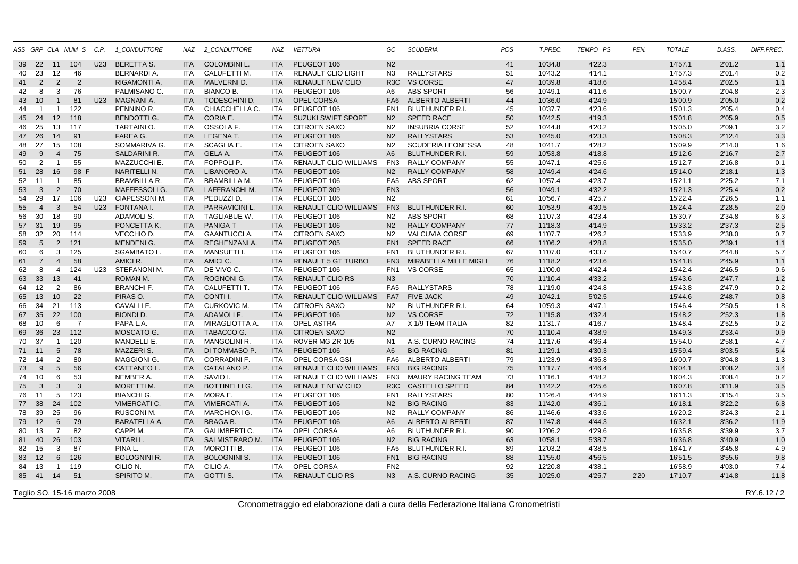|    |                 |                 | ASS GRP CLA NUM S | C.P.            | 1_CONDUTTORE        | NAZ        | 2_CONDUTTORE          | NAZ        | <b>VETTURA</b>               | GC               | <b>SCUDERIA</b>           | POS | T.PREC. | TEMPO PS | PEN. | <b>TOTALE</b> | D.ASS. | DIFF.PREC. |
|----|-----------------|-----------------|-------------------|-----------------|---------------------|------------|-----------------------|------------|------------------------------|------------------|---------------------------|-----|---------|----------|------|---------------|--------|------------|
| 39 | 22              | 11              | 104               | U <sub>23</sub> | <b>BERETTA S.</b>   | <b>ITA</b> | <b>COLOMBINI L.</b>   | <b>ITA</b> | PEUGEOT 106                  | N <sub>2</sub>   |                           | 41  | 10'34.8 | 4'22.3   |      | 14'57.1       | 2'01.2 | 1.1        |
| 40 | 23              | 12              | 46                |                 | BERNARDI A.         | ITA        | CALUFETTI M.          | <b>ITA</b> | <b>RENAULT CLIO LIGHT</b>    | N3               | RALLYSTARS                | 51  | 10'43.2 | 4'14.1   |      | 14'57.3       | 2'01.4 | 0.2        |
| 41 | 2               | 2               | $\overline{2}$    |                 | RIGAMONTI A.        | <b>ITA</b> | MALVERNI D.           | <b>ITA</b> | <b>RENAULT NEW CLIO</b>      | R <sub>3</sub> C | <b>VS CORSE</b>           | 47  | 10'39.8 | 4'18.6   |      | 14'58.4       | 2'02.5 | 1.1        |
| 42 | 8               | 3               | 76                |                 | PALMISANO C.        | <b>ITA</b> | <b>BIANCO B.</b>      | <b>ITA</b> | PEUGEOT 106                  | A6               | ABS SPORT                 | 56  | 10'49.1 | 4'11.6   |      | 15'00.7       | 2'04.8 | 2.3        |
| 43 | 10              | $\mathbf{1}$    | 81                | U23             | <b>MAGNANI A.</b>   | <b>ITA</b> | TODESCHINI D.         | <b>ITA</b> | OPEL CORSA                   |                  | FA6 ALBERTO ALBERTI       | 44  | 10'36.0 | 4'24.9   |      | 15'00.9       | 2'05.0 | 0.2        |
| 44 | $\overline{1}$  | $\overline{1}$  | 122               |                 | PENNINO R.          | <b>ITA</b> | CHIACCHELLA C.        | <b>ITA</b> | PEUGEOT 106                  | FN <sub>1</sub>  | <b>BLUTHUNDER R.I.</b>    | 45  | 10'37.7 | 4'23.6   |      | 15'01.3       | 2'05.4 | 0.4        |
| 45 | 24              | 12              | 118               |                 | <b>BENDOTTI G.</b>  | <b>ITA</b> | CORIA E.              | <b>ITA</b> | <b>SUZUKI SWIFT SPORT</b>    | N2               | <b>SPEED RACE</b>         | 50  | 10'42.5 | 4'19.3   |      | 15'01.8       | 2'05.9 | 0.5        |
| 46 | 25              | 13              | 117               |                 | TARTAINI O.         | <b>ITA</b> | OSSOLA F.             | <b>ITA</b> | <b>CITROEN SAXO</b>          | N <sub>2</sub>   | <b>INSUBRIA CORSE</b>     | 52  | 10'44.8 | 4'20.2   |      | 15'05.0       | 2'09.1 | 3.2        |
| 47 | 26              | 14              | 91                |                 | FAREA G.            | <b>ITA</b> | LEGENA T.             | <b>ITA</b> | PEUGEOT 106                  | N <sub>2</sub>   | <b>RALLYSTARS</b>         | 53  | 10'45.0 | 4'23.3   |      | 15'08.3       | 2'12.4 | 3.3        |
| 48 | 27              | 15              | 108               |                 | SOMMARIVA G.        | ITA        | SCAGLIA E.            | ITA.       | <b>CITROEN SAXO</b>          | N <sub>2</sub>   | <b>SCUDERIA LEONESSA</b>  | 48  | 10'41.7 | 4'28.2   |      | 15'09.9       | 2'14.0 | 1.6        |
| 49 | 9               | $\overline{4}$  | 75                |                 | <b>SALDARINI R.</b> | <b>ITA</b> | <b>GELA A.</b>        | <b>ITA</b> | PEUGEOT 106                  | A <sub>6</sub>   | <b>BLUTHUNDER R.I.</b>    | 59  | 10'53.8 | 4'18.8   |      | 15'12.6       | 2'16.7 | 2.7        |
| 50 | 2               | $\overline{1}$  | 55                |                 | MAZZUCCHI E.        | ITA        | FOPPOLI P.            | <b>ITA</b> | <b>RENAULT CLIO WILLIAMS</b> | FN3              | RALLY COMPANY             | 55  | 10'47.1 | 4'25.6   |      | 15'12.7       | 2'16.8 | 0.1        |
| 51 | 28              | 16              | 98<br>E           |                 | NARITELLI N.        | <b>ITA</b> | LIBANORO A.           | <b>ITA</b> | PEUGEOT 106                  | N2               | <b>RALLY COMPANY</b>      | 58  | 10'49.4 | 4'24.6   |      | 15'14.0       | 2'18.1 | 1.3        |
| 52 | 11              | $\overline{1}$  | 85                |                 | <b>BRAMBILLA R.</b> | ITA        | <b>BRAMBILLA M.</b>   | ITA.       | PEUGEOT 106                  |                  | FA5 ABS SPORT             | 62  | 10'57.4 | 4'23.7   |      | 15'21.1       | 2'25.2 | 7.1        |
| 53 | $\mathbf{3}$    | $\overline{2}$  | 70                |                 | MAFFESSOLI G.       | <b>ITA</b> | <b>LAFFRANCHI M.</b>  | <b>ITA</b> | PEUGEOT 309                  | FN <sub>3</sub>  |                           | 56  | 10'49.1 | 4'32.2   |      | 15'21.3       | 2'25.4 | 0.2        |
| 54 | 29              | 17              | 106               | U23             | CIAPESSONI M.       | <b>ITA</b> | PEDUZZI D.            | <b>ITA</b> | PEUGEOT 106                  | N2               |                           | 61  | 10'56.7 | 4'25.7   |      | 15'22.4       | 2'26.5 | 1.1        |
| 55 | $\overline{4}$  | 3               | 54                | U23             | FONTANA I.          | <b>ITA</b> | <b>PARRAVICINI L.</b> | <b>ITA</b> | <b>RENAULT CLIO WILLIAMS</b> | FN <sub>3</sub>  | <b>BLUTHUNDER R.I.</b>    | 60  | 10'53.9 | 4'30.5   |      | 15'24.4       | 2'28.5 | 2.0        |
| 56 | 30              | 18              | 90                |                 | ADAMOLI S.          | ITA        | TAGLIABUE W.          | ITA.       | PEUGEOT 106                  | N2               | ABS SPORT                 | 68  | 11'07.3 | 4'23.4   |      | 15'30.7       | 2'34.8 | 6.3        |
| 57 | 31              | 19              | 95                |                 | PONCETTA K.         | <b>ITA</b> | <b>PANIGAT</b>        | <b>ITA</b> | PEUGEOT 106                  | N2               | <b>RALLY COMPANY</b>      | 77  | 11'18.3 | 4'14.9   |      | 15'33.2       | 2'37.3 | 2.5        |
| 58 | 32              | 20              | 114               |                 | VECCHIO D.          | ITA        | <b>GAANTUCCIA.</b>    | ITA.       | <b>CITROEN SAXO</b>          | N2               | VALCUVIA CORSE            | 69  | 11'07.7 | 4'26.2   |      | 15'33.9       | 2'38.0 | 0.7        |
| 59 | $5\overline{)}$ | $\overline{2}$  | 121               |                 | <b>MENDENIG.</b>    | <b>ITA</b> | REGHENZANI A.         | <b>ITA</b> | PEUGEOT 205                  | FN1              | <b>SPEED RACE</b>         | 66  | 11'06.2 | 4'28.8   |      | 15'35.0       | 2'39.1 | 1.1        |
| 60 | 6               | $\mathbf{3}$    | 125               |                 | SGAMBATO L.         | ITA        | MANSUETI I.           | ITA.       | PEUGEOT 106                  | FN1              | <b>BLUTHUNDER R.I.</b>    | 67  | 11'07.0 | 4'33.7   |      | 15'40.7       | 2'44.8 | 5.7        |
| 61 | $\overline{7}$  | $\overline{4}$  | 58                |                 | AMICI R.            | <b>ITA</b> | AMICI C.              | <b>ITA</b> | <b>RENAULT 5 GT TURBO</b>    |                  | FN3 MIRABELLA MILLE MIGLI | 76  | 11'18.2 | 4'23.6   |      | 15'41.8       | 2'45.9 | 1.1        |
| 62 | 8               | $\overline{4}$  | 124               | U23             | STEFANONI M.        | <b>ITA</b> | DE VIVO C.            | <b>ITA</b> | PEUGEOT 106                  | FN <sub>1</sub>  | <b>VS CORSE</b>           | 65  | 11'00.0 | 4'42.4   |      | 15'42.4       | 2'46.5 | 0.6        |
| 63 | 33              | 13              | 41                |                 | ROMAN M.            | <b>ITA</b> | <b>ROGNONI G.</b>     | <b>ITA</b> | <b>RENAULT CLIO RS</b>       | N3               |                           | 70  | 11'10.4 | 4'33.2   |      | 15'43.6       | 2'47.7 | 1.2        |
| 64 | 12              | 2               | 86                |                 | <b>BRANCHI F.</b>   | <b>ITA</b> | CALUFETTI T.          | <b>ITA</b> | PEUGEOT 106                  |                  | FA5 RALLYSTARS            | 78  | 11'19.0 | 4'24.8   |      | 15'43.8       | 2'47.9 | 0.2        |
| 65 | 13              | 10              | 22                |                 | PIRAS O.            | <b>ITA</b> | CONTI I.              | <b>ITA</b> | RENAULT CLIO WILLIAMS        | FA7              | <b>FIVE JACK</b>          | 49  | 10'42.1 | 5'02.5   |      | 15'44.6       | 2'48.7 | 0.8        |
| 66 | 34              | 21              | 113               |                 | CAVALLI F.          | ITA        | <b>CURKOVIC M.</b>    | <b>ITA</b> | <b>CITROEN SAXO</b>          | N2               | <b>BLUTHUNDER R.I.</b>    | 64  | 10'59.3 | 4'47.1   |      | 15'46.4       | 2'50.5 | 1.8        |
| 67 | 35              | 22              | 100               |                 | <b>BIONDI D.</b>    | <b>ITA</b> | ADAMOLI F.            | <b>ITA</b> | PEUGEOT 106                  | N2               | <b>VS CORSE</b>           | 72  | 11'15.8 | 4'32.4   |      | 15'48.2       | 2'52.3 | 1.8        |
| 68 | 10              | 6               | $\overline{7}$    |                 | PAPA L.A.           | <b>ITA</b> | MIRAGLIOTTA A.        | <b>ITA</b> | OPEL ASTRA                   | A7               | X 1/9 TEAM ITALIA         | 82  | 11'31.7 | 4'16.7   |      | 15'48.4       | 2'52.5 | 0.2        |
| 69 | 36              | 23              | 112               |                 | MOSCATO G.          | <b>ITA</b> | TABACCO G.            | <b>ITA</b> | <b>CITROEN SAXO</b>          | N <sub>2</sub>   |                           | 70  | 11'10.4 | 4'38.9   |      | 15'49.3       | 2'53.4 | 0.9        |
| 70 | 37              | $\overline{1}$  | 120               |                 | MANDELLI E.         | ITA        | <b>MANGOLINI R.</b>   | <b>ITA</b> | ROVER MG ZR 105              | N <sub>1</sub>   | A.S. CURNO RACING         | 74  | 11'17.6 | 4'36.4   |      | 15'54.0       | 2'58.1 | 4.7        |
|    | 71 11           | $5\phantom{.0}$ | 78                |                 | MAZZERI S.          | <b>ITA</b> | DI TOMMASO P.         | <b>ITA</b> | PEUGEOT 106                  | A <sub>6</sub>   | <b>BIG RACING</b>         | 81  | 11'29.1 | 4'30.3   |      | 15'59.4       | 3'03.5 | 5.4        |
| 72 | 14              | 2               | 80                |                 | <b>MAGGIONI G.</b>  | <b>ITA</b> | <b>CORRADINI F.</b>   | <b>ITA</b> | <b>OPEL CORSA GSI</b>        | FA6              | <b>ALBERTO ALBERTI</b>    | 79  | 11'23.9 | 4'36.8   |      | 16'00.7       | 3'04.8 | 1.3        |
| 73 | 9               | $5\phantom{.0}$ | 56                |                 | CATTANEO L.         | <b>ITA</b> | CATALANO P.           | <b>ITA</b> | <b>RENAULT CLIO WILLIAMS</b> |                  | FN3 BIG RACING            | 75  | 11'17.7 | 4'46.4   |      | 16'04.1       | 3'08.2 | 3.4        |
| 74 | 10              | 6               | 53                |                 | NEMBER A.           | <b>ITA</b> | SAVIO I.              | <b>ITA</b> | <b>RENAULT CLIO WILLIAMS</b> | FN <sub>3</sub>  | <b>MAURY RACING TEAM</b>  | 73  | 11'16.1 | 4'48.2   |      | 16'04.3       | 3'08.4 | 0.2        |
| 75 | $\mathbf{3}$    | 3               | $\mathbf{3}$      |                 | MORETTI M.          | <b>ITA</b> | <b>BOTTINELLI G.</b>  | <b>ITA</b> | <b>RENAULT NEW CLIO</b>      |                  | R3C CASTELLO SPEED        | 84  | 11'42.2 | 4'25.6   |      | 16'07.8       | 3'11.9 | 3.5        |
| 76 | 11              | 5               | 123               |                 | <b>BIANCHI G.</b>   | <b>ITA</b> | MORA E.               | <b>ITA</b> | PEUGEOT 106                  | FN <sub>1</sub>  | <b>RALLYSTARS</b>         | 80  | 11'26.4 | 4'44.9   |      | 16'11.3       | 3'15.4 | 3.5        |
| 77 | 38              | 24              | 102               |                 | <b>VIMERCATI C.</b> | <b>ITA</b> | VIMERCATI A.          | <b>ITA</b> | PEUGEOT 106                  | N2               | <b>BIG RACING</b>         | 83  | 11'42.0 | 4'36.1   |      | 16'18.1       | 3'22.2 | 6.8        |
| 78 | 39              | 25              | 96                |                 | RUSCONI M.          | ITA        | <b>MARCHIONI G.</b>   | <b>ITA</b> | PEUGEOT 106                  | N <sub>2</sub>   | <b>RALLY COMPANY</b>      | 86  | 11'46.6 | 4'33.6   |      | 16'20.2       | 3'24.3 | 2.1        |
| 79 | 12              | 6               | 79                |                 | <b>BARATELLA A.</b> | <b>ITA</b> | <b>BRAGA B.</b>       | <b>ITA</b> | PEUGEOT 106                  | A <sub>6</sub>   | <b>ALBERTO ALBERTI</b>    | 87  | 11'47.8 | 4'44.3   |      | 16'32.1       | 3'36.2 | 11.9       |
| 80 | 13              | $\overline{7}$  | 82                |                 | CAPPI M.            | <b>ITA</b> | <b>GALIMBERTI C.</b>  | <b>ITA</b> | OPEL CORSA                   | A6               | <b>BLUTHUNDER R.I.</b>    | 90  | 12'06.2 | 4'29.6   |      | 16'35.8       | 3'39.9 | 3.7        |
| 81 | 40              | 26              | 103               |                 | <b>VITARI L.</b>    | <b>ITA</b> | SALMISTRARO M. ITA    |            | PEUGEOT 106                  | N2               | <b>BIG RACING</b>         | 63  | 10'58.1 | 5'38.7   |      | 16'36.8       | 3'40.9 | 1.0        |
| 82 | 15              | 3               | 87                |                 | PINA L.             | <b>ITA</b> | MOROTTI B.            | ITA        | PEUGEOT 106                  | FA <sub>5</sub>  | BLUTHUNDER R.I.           | 89  | 12'03.2 | 4'38.5   |      | 16'41.7       | 3'45.8 | 4.9        |
| 83 | 12              | 6               | 126               |                 | <b>BOLOGNINI R.</b> | <b>ITA</b> | <b>BOLOGNINI S.</b>   | <b>ITA</b> | PEUGEOT 106                  | FN <sub>1</sub>  | <b>BIG RACING</b>         | 88  | 11'55.0 | 4'56.5   |      | 16'51.5       | 3'55.6 | 9.8        |
|    | 13              | $\overline{1}$  | 119               |                 | CILIO N.            | <b>ITA</b> | CILIO A.              | <b>ITA</b> | OPEL CORSA                   | FN <sub>2</sub>  |                           | 92  | 12'20.8 | 4'38.1   |      | 16'58.9       | 4'03.0 | 7.4        |
| 84 | 85 41           | 14              | 51                |                 | SPIRITO M.          | <b>ITA</b> | GOTTI S.              | <b>ITA</b> | <b>RENAULT CLIO RS</b>       | N3               | A.S. CURNO RACING         | 35  | 10'25.0 | 4'25.7   | 2'20 | 17'10.7       | 4'14.8 |            |
|    |                 |                 |                   |                 |                     |            |                       |            |                              |                  |                           |     |         |          |      |               |        | 11.8       |

Teglio SO, 15-16 marzo 2008

Cronometraggio ed elaborazione dati a cura della Federazione Italiana Cronometristi

 $\,$  RY.6.12/2  $\,$